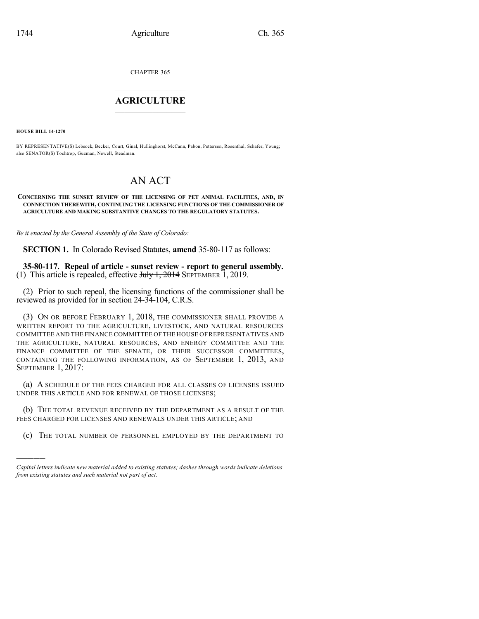CHAPTER 365

## $\overline{\phantom{a}}$  . The set of the set of the set of the set of the set of the set of the set of the set of the set of the set of the set of the set of the set of the set of the set of the set of the set of the set of the set o **AGRICULTURE**  $\_$   $\_$   $\_$   $\_$   $\_$   $\_$   $\_$   $\_$

**HOUSE BILL 14-1270**

)))))

BY REPRESENTATIVE(S) Lebsock, Becker, Court, Ginal, Hullinghorst, McCann, Pabon, Pettersen, Rosenthal, Schafer, Young; also SENATOR(S) Tochtrop, Guzman, Newell, Steadman.

# AN ACT

#### **CONCERNING THE SUNSET REVIEW OF THE LICENSING OF PET ANIMAL FACILITIES, AND, IN CONNECTION THEREWITH, CONTINUING THE LICENSING FUNCTIONS OF THE COMMISSIONER OF AGRICULTURE AND MAKING SUBSTANTIVE CHANGES TO THE REGULATORY STATUTES.**

*Be it enacted by the General Assembly of the State of Colorado:*

**SECTION 1.** In Colorado Revised Statutes, **amend** 35-80-117 as follows:

**35-80-117. Repeal of article - sunset review - report to general assembly.** (1) This article is repealed, effective  $J<sub>t</sub>$  Hy 1, 2014 SEPTEMBER 1, 2019.

(2) Prior to such repeal, the licensing functions of the commissioner shall be reviewed as provided for in section 24-34-104, C.R.S.

(3) ON OR BEFORE FEBRUARY 1, 2018, THE COMMISSIONER SHALL PROVIDE A WRITTEN REPORT TO THE AGRICULTURE, LIVESTOCK, AND NATURAL RESOURCES COMMITTEE AND THE FINANCE COMMITTEE OF THE HOUSE OF REPRESENTATIVES AND THE AGRICULTURE, NATURAL RESOURCES, AND ENERGY COMMITTEE AND THE FINANCE COMMITTEE OF THE SENATE, OR THEIR SUCCESSOR COMMITTEES, CONTAINING THE FOLLOWING INFORMATION, AS OF SEPTEMBER 1, 2013, AND SEPTEMBER 1, 2017:

(a) A SCHEDULE OF THE FEES CHARGED FOR ALL CLASSES OF LICENSES ISSUED UNDER THIS ARTICLE AND FOR RENEWAL OF THOSE LICENSES;

(b) THE TOTAL REVENUE RECEIVED BY THE DEPARTMENT AS A RESULT OF THE FEES CHARGED FOR LICENSES AND RENEWALS UNDER THIS ARTICLE; AND

(c) THE TOTAL NUMBER OF PERSONNEL EMPLOYED BY THE DEPARTMENT TO

*Capital letters indicate new material added to existing statutes; dashes through words indicate deletions from existing statutes and such material not part of act.*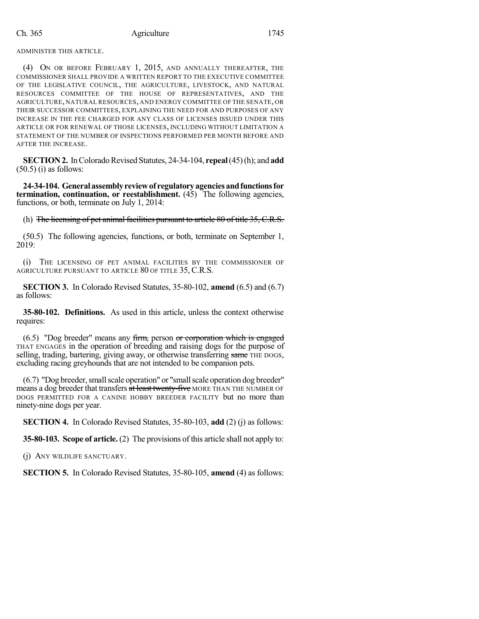ADMINISTER THIS ARTICLE.

(4) ON OR BEFORE FEBRUARY 1, 2015, AND ANNUALLY THEREAFTER, THE COMMISSIONER SHALL PROVIDE A WRITTEN REPORT TO THE EXECUTIVE COMMITTEE OF THE LEGISLATIVE COUNCIL, THE AGRICULTURE, LIVESTOCK, AND NATURAL RESOURCES COMMITTEE OF THE HOUSE OF REPRESENTATIVES, AND THE AGRICULTURE, NATURAL RESOURCES, AND ENERGY COMMITTEE OF THE SENATE, OR THEIR SUCCESSOR COMMITTEES, EXPLAINING THE NEED FOR AND PURPOSES OF ANY INCREASE IN THE FEE CHARGED FOR ANY CLASS OF LICENSES ISSUED UNDER THIS ARTICLE OR FOR RENEWAL OF THOSE LICENSES, INCLUDING WITHOUT LIMITATION A STATEMENT OF THE NUMBER OF INSPECTIONS PERFORMED PER MONTH BEFORE AND AFTER THE INCREASE.

**SECTION 2.** In Colorado Revised Statutes, 24-34-104, **repeal** (45) (h); and **add**  $(50.5)$  (i) as follows:

**24-34-104. Generalassemblyreviewof regulatoryagenciesandfunctionsfor termination, continuation, or reestablishment.** (45) The following agencies, functions, or both, terminate on July 1, 2014:

(h) The licensing of pet animal facilities pursuant to article 80 of title 35, C.R.S.

(50.5) The following agencies, functions, or both, terminate on September 1, 2019:

(i) THE LICENSING OF PET ANIMAL FACILITIES BY THE COMMISSIONER OF AGRICULTURE PURSUANT TO ARTICLE 80 OF TITLE 35, C.R.S.

**SECTION 3.** In Colorado Revised Statutes, 35-80-102, **amend** (6.5) and (6.7) as follows:

**35-80-102. Definitions.** As used in this article, unless the context otherwise requires:

(6.5) "Dog breeder" means any firm, person or corporation which is engaged THAT ENGAGES in the operation of breeding and raising dogs for the purpose of selling, trading, bartering, giving away, or otherwise transferring same THE DOGS, excluding racing greyhounds that are not intended to be companion pets.

(6.7) "Dog breeder, small scale operation" or "small scale operation dog breeder" means a dog breeder that transfers at least twenty-five MORE THAN THE NUMBER OF DOGS PERMITTED FOR A CANINE HOBBY BREEDER FACILITY but no more than ninety-nine dogs per year.

**SECTION 4.** In Colorado Revised Statutes, 35-80-103, **add** (2) (j) as follows:

**35-80-103. Scope of article.** (2) The provisions of this article shall not apply to:

(j) ANY WILDLIFE SANCTUARY.

**SECTION 5.** In Colorado Revised Statutes, 35-80-105, **amend** (4) as follows: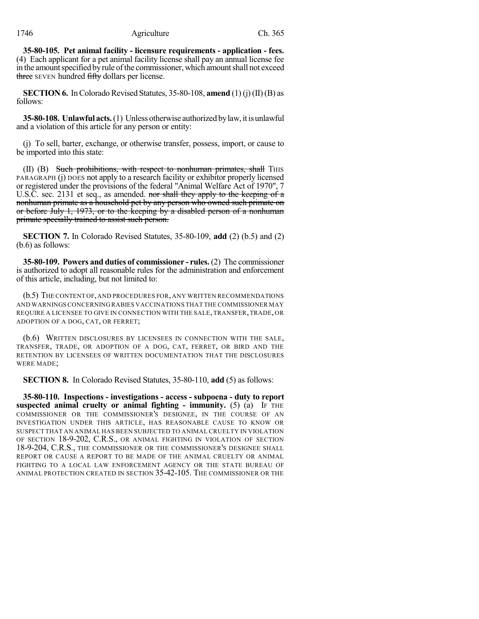**35-80-105. Pet animal facility - licensure requirements - application - fees.** (4) Each applicant for a pet animal facility license shall pay an annual license fee in the amount specified by rule of the commissioner, which amount shall not exceed three SEVEN hundred fifty dollars per license.

**SECTION 6.** In Colorado Revised Statutes,  $35-80-108$ , **amend** (1) (j) (II) (B) as follows:

**35-80-108. Unlawful acts.** (1) Unless otherwise authorized by law, it is unlawful and a violation of this article for any person or entity:

(j) To sell, barter, exchange, or otherwise transfer, possess, import, or cause to be imported into this state:

(II) (B) Such prohibitions, with respect to nonhuman primates, shall THIS PARAGRAPH (j) DOES not apply to a research facility or exhibitor properly licensed or registered under the provisions of the federal "Animal Welfare Act of 1970", 7 U.S.C. sec. 2131 et seq., as amended. nor shall they apply to the keeping of a nonhuman primate as a household pet by any person who owned such primate on or before July 1, 1973, or to the keeping by a disabled person of a nonhuman primate specially trained to assist such person.

**SECTION 7.** In Colorado Revised Statutes, 35-80-109, **add** (2) (b.5) and (2) (b.6) as follows:

**35-80-109. Powers and duties of commissioner - rules.** (2) The commissioner is authorized to adopt all reasonable rules for the administration and enforcement of this article, including, but not limited to:

(b.5) THE CONTENT OF,AND PROCEDURES FOR,ANY WRITTEN RECOMMENDATIONS AND WARNINGS CONCERNING RABIES VACCINATIONS THAT THE COMMISSIONER MAY REQUIRE A LICENSEE TO GIVE IN CONNECTION WITH THE SALE,TRANSFER,TRADE, OR ADOPTION OF A DOG, CAT, OR FERRET;

(b.6) WRITTEN DISCLOSURES BY LICENSEES IN CONNECTION WITH THE SALE, TRANSFER, TRADE, OR ADOPTION OF A DOG, CAT, FERRET, OR BIRD AND THE RETENTION BY LICENSEES OF WRITTEN DOCUMENTATION THAT THE DISCLOSURES WERE MADE;

**SECTION 8.** In Colorado Revised Statutes, 35-80-110, **add** (5) as follows:

**35-80-110. Inspections - investigations - access - subpoena - duty to report suspected animal cruelty or animal fighting - immunity.** (5) (a) IF THE COMMISSIONER OR THE COMMISSIONER'S DESIGNEE, IN THE COURSE OF AN INVESTIGATION UNDER THIS ARTICLE, HAS REASONABLE CAUSE TO KNOW OR SUSPECT THAT AN ANIMAL HAS BEEN SUBJECTED TO ANIMAL CRUELTY IN VIOLATION OF SECTION 18-9-202, C.R.S., OR ANIMAL FIGHTING IN VIOLATION OF SECTION 18-9-204, C.R.S., THE COMMISSIONER OR THE COMMISSIONER'S DESIGNEE SHALL REPORT OR CAUSE A REPORT TO BE MADE OF THE ANIMAL CRUELTY OR ANIMAL FIGHTING TO A LOCAL LAW ENFORCEMENT AGENCY OR THE STATE BUREAU OF ANIMAL PROTECTION CREATED IN SECTION 35-42-105. THE COMMISSIONER OR THE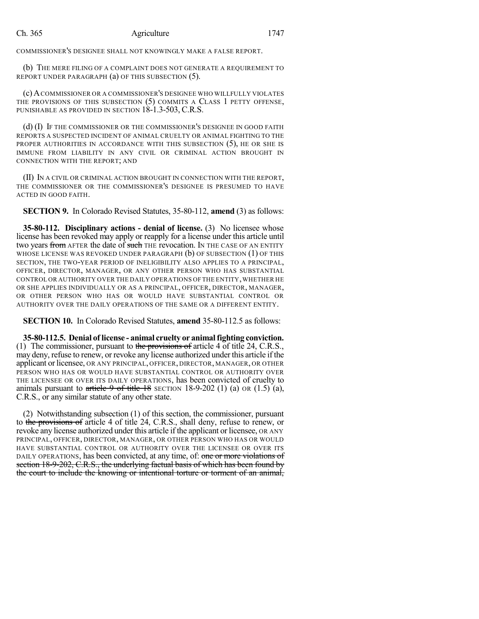#### Ch. 365 Agriculture 1747

COMMISSIONER'S DESIGNEE SHALL NOT KNOWINGLY MAKE A FALSE REPORT.

(b) THE MERE FILING OF A COMPLAINT DOES NOT GENERATE A REQUIREMENT TO REPORT UNDER PARAGRAPH (a) OF THIS SUBSECTION (5).

(c) ACOMMISSIONER OR A COMMISSIONER'S DESIGNEE WHO WILLFULLY VIOLATES THE PROVISIONS OF THIS SUBSECTION (5) COMMITS A CLASS 1 PETTY OFFENSE, PUNISHABLE AS PROVIDED IN SECTION  $18-1.3-503$ , C.R.S.

(d) (I) IF THE COMMISSIONER OR THE COMMISSIONER'S DESIGNEE IN GOOD FAITH REPORTS A SUSPECTED INCIDENT OF ANIMAL CRUELTY OR ANIMAL FIGHTING TO THE PROPER AUTHORITIES IN ACCORDANCE WITH THIS SUBSECTION (5), HE OR SHE IS IMMUNE FROM LIABILITY IN ANY CIVIL OR CRIMINAL ACTION BROUGHT IN CONNECTION WITH THE REPORT; AND

(II) IN A CIVIL OR CRIMINAL ACTION BROUGHT IN CONNECTION WITH THE REPORT, THE COMMISSIONER OR THE COMMISSIONER'S DESIGNEE IS PRESUMED TO HAVE ACTED IN GOOD FAITH.

**SECTION 9.** In Colorado Revised Statutes, 35-80-112, **amend** (3) as follows:

**35-80-112. Disciplinary actions - denial of license.** (3) No licensee whose license has been revoked may apply or reapply for a license under this article until two years from AFTER the date of such THE revocation. IN THE CASE OF AN ENTITY WHOSE LICENSE WAS REVOKED UNDER PARAGRAPH (b) OF SUBSECTION (1) OF THIS SECTION, THE TWO-YEAR PERIOD OF INELIGIBILITY ALSO APPLIES TO A PRINCIPAL, OFFICER, DIRECTOR, MANAGER, OR ANY OTHER PERSON WHO HAS SUBSTANTIAL CONTROL OR AUTHORITY OVER THE DAILY OPERATIONS OF THE ENTITY, WHETHER HE OR SHE APPLIES INDIVIDUALLY OR AS A PRINCIPAL, OFFICER, DIRECTOR, MANAGER, OR OTHER PERSON WHO HAS OR WOULD HAVE SUBSTANTIAL CONTROL OR AUTHORITY OVER THE DAILY OPERATIONS OF THE SAME OR A DIFFERENT ENTITY.

**SECTION 10.** In Colorado Revised Statutes, **amend** 35-80-112.5 as follows:

**35-80-112.5. Denial of license - animal cruelty or animalfighting conviction.** (1) The commissioner, pursuant to the provisions of article 4 of title  $24$ , C.R.S., may deny, refuse to renew, or revoke any license authorized underthis article if the applicant or licensee, OR ANY PRINCIPAL, OFFICER, DIRECTOR, MANAGER, OR OTHER PERSON WHO HAS OR WOULD HAVE SUBSTANTIAL CONTROL OR AUTHORITY OVER THE LICENSEE OR OVER ITS DAILY OPERATIONS, has been convicted of cruelty to animals pursuant to article 9 of title 18 SECTION 18-9-202 (1) (a) OR  $(1.5)$  (a), C.R.S., or any similar statute of any other state.

(2) Notwithstanding subsection (1) of this section, the commissioner, pursuant to the provisions of article 4 of title 24, C.R.S., shall deny, refuse to renew, or revoke any license authorized under this article if the applicant or licensee, OR ANY PRINCIPAL, OFFICER, DIRECTOR, MANAGER, OR OTHER PERSON WHO HAS OR WOULD HAVE SUBSTANTIAL CONTROL OR AUTHORITY OVER THE LICENSEE OR OVER ITS DAILY OPERATIONS, has been convicted, at any time, of: one or more violations of section 18-9-202, C.R.S., the underlying factual basis of which has been found by the court to include the knowing or intentional torture or torment of an animal,